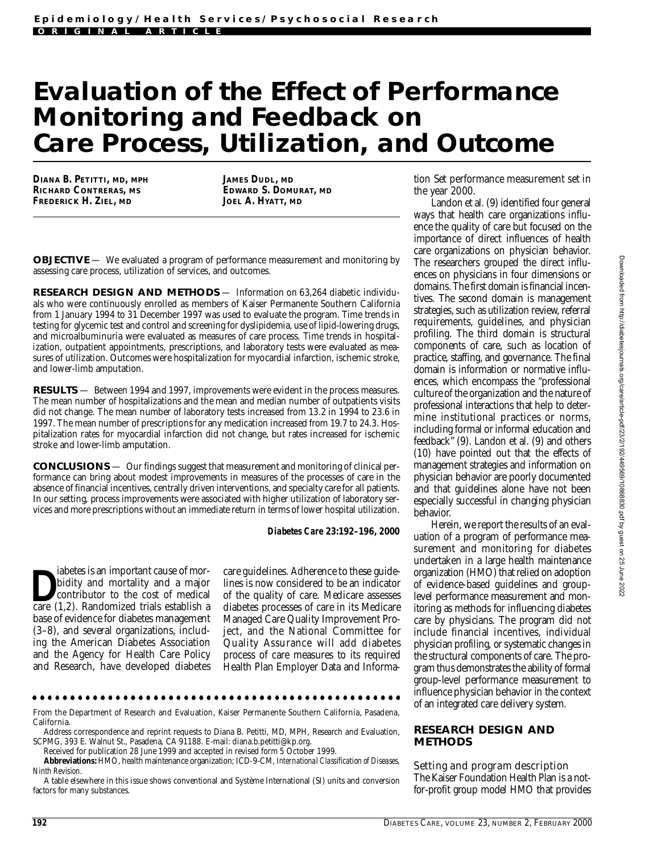# **Evaluation of the Effect of Performance Monitoring and Feedback on**  Care Process, Utilization, and Outcome

**DIANA B. PETITTI, MD, MPH RICHARD CONTRERAS, MS FREDERICK H. ZIEL, MD**

**JAMES DUDL, MD EDWARD S. DOMURAT, MD JOEL A. HYATT, MD**

**OBJECTIVE** — We evaluated a program of performance measurement and monitoring by assessing care process, utilization of services, and outcomes.

**RESEARCH DESIGN AND METHODS** - Information on 63,264 diabetic individuals who were continuously enrolled as members of Kaiser Permanente Southern California from 1 January 1994 to 31 December 1997 was used to evaluate the program. Time trends in testing for glycemic test and control and screening for dyslipidemia, use of lipid-lowering drugs, and microalbuminuria were evaluated as measures of care process. Time trends in hospitalization, outpatient appointments, prescriptions, and laboratory tests were evaluated as measures of utilization. Outcomes were hospitalization for myocardial infarction, ischemic stroke, and lower-limb amputation.

RESULTS — Between 1994 and 1997, improvements were evident in the process measures. The mean number of hospitalizations and the mean and median number of outpatients visits did not change. The mean number of laboratory tests increased from 13.2 in 1994 to 23.6 in 1997. The mean number of prescriptions for any medication increased from 19.7 to 24.3. Hospitalization rates for myocardial infarction did not change, but rates increased for ischemic stroke and lower-limb amputation.

CONCLUSIONS — Our findings suggest that measurement and monitoring of clinical performance can bring about modest improvements in measures of the processes of care in the absence of financial incentives, centrally driven interventions, and specialty care for all patients. In our setting, process improvements were associated with higher utilization of laboratory services and more prescriptions without an immediate return in terms of lower hospital utilization.

*Diabetes Care* **2 3 :1 9 2–196, 2000**

bidity and mortality and a major<br>
contributor to the cost of medical<br>
care (1,2). Randomized trials establish a iabetes is an important cause of morbidity and mortality and a major contributor to the cost of medical base of evidence for diabetes management (3–8), and several organizations, including the American Diabetes Association and the Agency for Health Care Policy and Research, have developed diabetes

care guidelines. Adherence to these guidelines is now considered to be an indicator of the quality of care. Medicare assesses diabetes processes of care in its Medicare Managed Care Quality Improvement Project, and the National Committee for Quality Assurance will add diabetes process of care measures to its required Health Plan Employer Data and Informa-

F rom the Department of Research and Evaluation, Kaiser Permanente Southern California, Pasadena, California.

Address correspondence and reprint requests to Diana B. Petitti, MD, MPH, Research and Evaluation, SCPMG, 393 E. Walnut St., Pasadena, CA 91188. E-mail: diana.b.petitti@kp.org.

Received for publication 28 June 1999 and accepted in revised form 5 October 1999.

Abbreviations: HMO, health maintenance organization; ICD-9-CM, International Classification of Diseases, *Ninth Revision*.

A table elsewhere in this issue shows conventional and Système International (SI) units and conversion factors for many substances.

tion Set performance measurement set in the year 2000.

Landon et al. (9) identified four general ways that health care organizations influence the quality of care but focused on the importance of direct influences of health care organizations on physician behavior. The researchers grouped the direct influences on physicians in four dimensions or domains. The first domain is financial incentives. The second domain is management strategies, such as utilization review, referral requirements, guidelines, and physician profiling. The third domain is structural components of care, such as location of practice, staffing, and governance. The final domain is information or normative influences, which encompass the "professional culture of the organization and the nature of p rofessional interactions that help to determine institutional practices or norms, including formal or informal education and feedback" (9). Landon et al. (9) and others (10) have pointed out that the effects of management strategies and information on physician behavior are poorly documented and that guidelines alone have not been especially successful in changing physician behavior.

Herein, we report the results of an evaluation of a program of performance measurement and monitoring for diabetes undertaken in a large health maintenance organization (HMO) that relied on adoption of evidence-based guidelines and grouplevel performance measurement and monitoring as methods for influencing diabetes care by physicians. The program did not include financial incentives, individual physician profiling, or systematic changes in the structural components of care. The program thus demonstrates the ability of formal group-level performance measurement to influence physician behavior in the context of an integrated care delivery system.

## **RESEARCH DESIGN AND METHODS**

Setting and program description The Kaiser Foundation Health Plan is a notfor-profit group model HMO that provides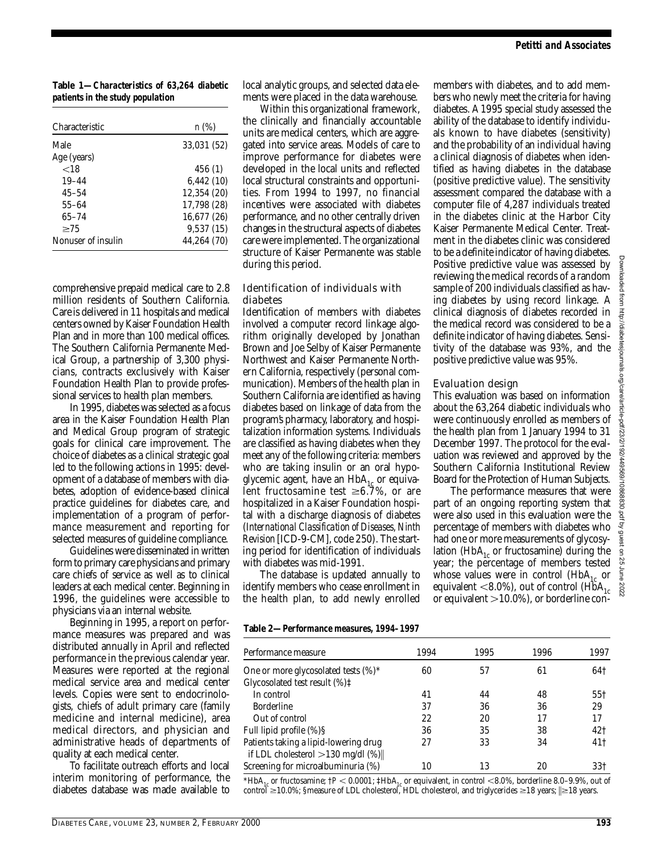**Table 1—***Characteristics of 63,264 diabetic patients in the study population*

| Characteristic     | n(%)        |  |  |
|--------------------|-------------|--|--|
| Male               | 33,031 (52) |  |  |
| Age (years)        |             |  |  |
| $<$ 18             | 456(1)      |  |  |
| $19 - 44$          | 6,442(10)   |  |  |
| 45–54              | 12,354 (20) |  |  |
| $55 - 64$          | 17.798 (28) |  |  |
| $65 - 74$          | 16,677 (26) |  |  |
| $\geq$ 75          | 9,537(15)   |  |  |
| Nonuser of insulin | 44.264 (70) |  |  |

comprehensive prepaid medical care to 2.8 million residents of Southern California. Care is delivered in 11 hospitals and medical centers owned by Kaiser Foundation Health Plan and in more than 100 medical offices. The Southern California Permanente Medical Group, a partnership of 3,300 physicians, contracts exclusively with Kaiser Foundation Health Plan to provide professional services to health plan members.

In 1995, diabetes was selected as a focus area in the Kaiser Foundation Health Plan and Medical Group program of strategic goals for clinical care improvement. The choice of diabetes as a clinical strategic goal led to the following actions in 1995: development of a database of members with diabetes, adoption of evidence-based clinical practice guidelines for diabetes care, and implementation of a program of performance measurement and reporting for selected measures of guideline compliance.

Guidelines were disseminated in written form to primary care physicians and primary care chiefs of service as well as to clinical leaders at each medical center. Beginning in 1996, the guidelines were accessible to physicians via an internal website.

Beginning in 1995, a report on performance measures was prepared and was distributed annually in April and reflected performance in the previous calendar year. Measures were reported at the regional medical service area and medical center levels. Copies were sent to endocrinologists, chiefs of adult primary care (family medicine and internal medicine), area medical directors, and physician and administrative heads of departments of quality at each medical center.

To facilitate outreach efforts and local interim monitoring of performance, the diabetes database was made available to local analytic groups, and selected data elements were placed in the data warehouse.

Within this organizational framework, the clinically and financially accountable units are medical centers, which are aggregated into service areas. Models of care to improve performance for diabetes were developed in the local units and reflected local structural constraints and opportunities. From 1994 to 1997, no financial incentives were associated with diabetes performance, and no other centrally driven changes in the structural aspects of diabetes care were implemented. The organizational structure of Kaiser Permanente was stable during this period.

## Identification of individuals with diabetes

Identification of members with diabetes involved a computer record linkage algorithm originally developed by Jonathan Brown and Joe Selby of Kaiser Permanente Northwest and Kaiser Permanente Northern California, respectively (personal communication). Members of the health plan in Southern California are identified as having diabetes based on linkage of data from the program's pharmacy, laboratory, and hospitalization information systems. Individuals are classified as having diabetes when they meet any of the following criteria: members who are taking insulin or an oral hypoglycemic agent, have an  $HbA_{1c}$  or equivalent fructosamine test  $\geq 6.7\%$ , or are hospitalized in a Kaiser Foundation hospital with a discharge diagnosis of diabetes (International Classification of Diseases, Ninth Revision [ICD-9-CM], code 250). The starting period for identification of individuals with diabetes was mid-1991.

The database is updated annually to identify members who cease enrollment in the health plan, to add newly enrolled

Table 2-Performance measures, 1994-1997

| members with diabetes, and to add mem-         |
|------------------------------------------------|
| bers who newly meet the criteria for having    |
| diabetes. A 1995 special study assessed the    |
| ability of the database to identify individu-  |
| als known to have diabetes (sensitivity)       |
| and the probability of an individual having    |
| a clinical diagnosis of diabetes when iden-    |
| tified as having diabetes in the database      |
| (positive predictive value). The sensitivity   |
| assessment compared the database with a        |
| computer file of 4,287 individuals treated     |
| in the diabetes clinic at the Harbor City      |
| Kaiser Permanente Medical Center. Treat-       |
| ment in the diabetes clinic was considered     |
| to be a definite indicator of having diabetes. |
| Positive predictive value was assessed by      |
| reviewing the medical records of a random      |
| sample of 200 individuals classified as hav-   |
| ing diabetes by using record linkage. A        |
| clinical diagnosis of diabetes recorded in     |
| the medical record was considered to be a      |
| definite indicator of having diabetes. Sensi-  |
| tivity of the database was 93%, and the        |
| positive predictive value was 95%.             |
|                                                |

## Evaluation design

This evaluation was based on information about the 63,264 diabetic individuals who were continuously enrolled as members of the health plan from 1 January 1994 to 31 December 1997. The protocol for the evaluation was reviewed and approved by the Southern California Institutional Review Board for the Protection of Human Subjects.

The performance measures that were part of an ongoing reporting system that were also used in this evaluation were the percentage of members with diabetes who had one or more measurements of glycosylation (HbA $_{1c}$  or fructosamine) during the year; the percentage of members tested whose values were in control  $(HbA<sub>1c</sub>$  or equivalent <8.0%), out of control  $(HbA<sub>1c</sub>)$ or equivalent  $>$  10.0%), or borderline con-

| Performance measure                                                                | 1994 | 1995 | 1996 | 1997            |
|------------------------------------------------------------------------------------|------|------|------|-----------------|
| One or more glycosolated tests $(\%)^*$<br>Glycosolated test result (%) $\ddagger$ | 60   | 57   | 61   | 64†             |
| In control                                                                         | 41   | 44   | 48   | 55 <sup>†</sup> |
| <b>Borderline</b>                                                                  | 37   | 36   | 36   | 29              |
| Out of control                                                                     | 22   | 20   |      | 17              |
| Full lipid profile (%)§                                                            | 36   | 35   | 38   | 42†             |
| Patients taking a lipid-lowering drug<br>if LDL cholesterol $>130$ mg/dl $(\%)$    | 27   | 33   | 34   | 41†             |
| Screening for microalbuminuria (%)                                                 | 10   | 13   | 20   | 33†             |

\* $HbA_{1c}$  or fructosamine;  $\uparrow P < 0.0001$ ;  $\downarrow HbA_{1c}$  or equivalent, in control <8.0%, borderline 8.0–9.9%, out of control  $\geq$  10.0%; §measure of LDL cholesterol, HDL cholesterol, and triglycerides  $\geq$  18 years.  $\geq$  18 years.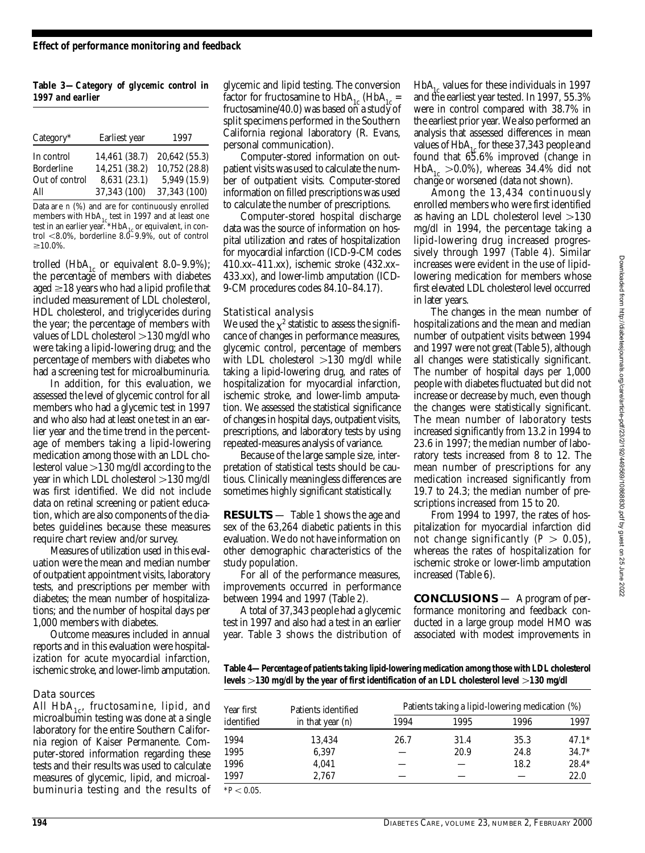Table 3-Category of glycemic control in *1997 and earlier*

| Category*         | Earliest year | 1997          |
|-------------------|---------------|---------------|
| In control        | 14.461 (38.7) | 20,642 (55.3) |
| <b>Borderline</b> | 14.251 (38.2) | 10,752 (28.8) |
| Out of control    | 8,631 (23.1)  | 5,949 (15.9)  |
| All               | 37,343 (100)  | 37,343 (100)  |

Data are n (%) and are for continuously enrolled members with  $\rm HbA_{1c}$  test in 1997 and at least one test in an earlier year. \*HbA<sub>1c</sub> or equivalent, in control  $< 8.0\%$ , borderline  $8.0-9.9\%$ , out of control  $\geq 10.0\%$ .

trolled (HbA<sub>1c</sub> or equivalent 8.0–9.9%); the percentage of members with diabetes aged  $\geq$ 18 years who had a lipid profile that included measurement of LDL cholesterol, HDL cholesterol, and triglycerides during the year; the percentage of members with values of LDL cholesterol  $>$  130 mg/dl who were taking a lipid-lowering drug; and the percentage of members with diabetes who had a screening test for microal buminuria.

In addition, for this evaluation, we assessed the level of glycemic control for all members who had a glycemic test in 1997 and who also had at least one test in an earlier year and the time trend in the percentage of members taking a lipid-lowering medication among those with an LDL cholesterol value  $>$ 130 mg/dl according to the year in which LDL cholesterol  $>130$  mg/dl was first identified. We did not include data on retinal screening or patient education, which are also components of the diabetes guidelines because these measures require chart review and/or survey.

Measures of utilization used in this evaluation were the mean and median number of outpatient appointment visits, laboratory tests, and prescriptions per member with diabetes; the mean number of hospitalizations; and the number of hospital days per 1,000 members with diabetes.

Outcome measures included in annual reports and in this evaluation were hospitalization for acute myocardial infarction, ischemic stroke, and lower-limb amputation.

## Data sources

All  $HbA_{1c}$ , fructosamine, lipid, and microalbumin testing was done at a single laboratory for the entire Southern California region of Kaiser Permanente. Computer-stored information regarding these tests and their results was used to calculate measures of glycemic, lipid, and microalbuminuria testing and the results of glycemic and lipid testing. The conversion factor for fructosamine to  $HbA_{1c}$  (HbA<sub>1c</sub> = fructosamine/40.0) was based on a study of split specimens performed in the Southern California regional laboratory (R. Evans, personal communication).

Computer-stored information on outpatient visits was used to calculate the number of outpatient visits. Computer-stored information on filled prescriptions was used to calculate the number of prescriptions.

Computer-stored hospital discharge data was the source of information on hospital utilization and rates of hospitalization for myocardial infarction (ICD-9-CM codes 410.xx–411.xx), ischemic stroke (432.xx– 433.xx), and lower-limb amputation (ICD-9-CM procedures codes 84.10-84.17).

#### Statistical analysis

We used the  $\chi^2$  statistic to assess the significance of changes in performance measures, glycemic control, percentage of members with LDL cholesterol  $>130$  mg/dl while taking a lipid-lowering drug, and rates of hospitalization for myocardial infarction, ischemic stroke, and lower-limb amputation. We assessed the statistical significance of changes in hospital days, outpatient visits, prescriptions, and laboratory tests by using re peated-measures analysis of variance.

Because of the large sample size, interp retation of statistical tests should be cautious. Clinically meaningless differences are sometimes highly significant statistically.

**RESULTS** — Table 1 shows the age and sex of the 63,264 diabetic patients in this evaluation. We do not have information on other demographic characteristics of the study population.

For all of the performance measures, improvements occurred in performance between 1994 and 1997 (Table 2).

A total of 37,343 people had a glycemic test in 1997 and also had a test in an earlier year. Table 3 shows the distribution of  $H b A_{1c}$  values for these individuals in 1997 and the earliest year tested. In 1997, 55.3% were in control compared with 38.7% in the earliest prior year. We also performed an analysis that assessed differences in mean values of  $HbA_{1c}$  for these 37,343 people and found that 65.6% improved (change in  $H b A_{1c} > 0.0$ %), whereas 34.4% did not change or worsened (data not shown).

Among the 13,434 continuously enrolled members who were first identified as having an LDL cholesterol level  $> 130$ mg/dl in 1994, the percentage taking a lipid-lowering drug increased progressively through 1997 (Table 4). Similar increases were evident in the use of lipidlowering medication for members whose first elevated LDL cholesterol level occurred in later years.

The changes in the mean number of hospitalizations and the mean and median number of outpatient visits between 1994 and 1997 were not great (Table 5), although all changes were statistically significant. The number of hospital days per 1,000 people with diabetes fluctuated but did not increase or decrease by much, even though the changes were statistically significant. The mean number of laboratory tests increased significantly from 13.2 in 1994 to 23.6 in 1997; the median number of laboratory tests increased from 8 to 12. The mean number of prescriptions for any medication increased significantly from 19.7 to 24.3; the median number of prescriptions increased from 15 to 20.

From 1994 to 1997, the rates of hospitalization for myocardial infarction did not change significantly  $(P > 0.05)$ , whereas the rates of hospitalization for ischemic stroke or lower-limb amputation increased (Table 6).

**CONCLUSIONS** — A program of performance monitoring and feedback conducted in a large group model HMO was associated with modest improvements in

Table 4—Percentage of patients taking lipid-lowering medication among those with LDL cholesterol *levels >130 mg/dl by the year of first identification of an LDL cholesterol level >130 mg/dl* 

| Patients identified<br>Year first<br>identified<br>in that year $(n)$ |        | Patients taking a lipid-lowering medication (%) |      |      |         |
|-----------------------------------------------------------------------|--------|-------------------------------------------------|------|------|---------|
|                                                                       | 1994   | 1995                                            | 1996 | 1997 |         |
| 1994                                                                  | 13.434 | 26.7                                            | 31.4 | 35.3 | $47.1*$ |
| 1995                                                                  | 6.397  |                                                 | 20.9 | 24.8 | $34.7*$ |
| 1996                                                                  | 4.041  |                                                 |      | 18.2 | $28.4*$ |
| 1997                                                                  | 2.767  |                                                 |      |      | 22.0    |
| $*P < 0.05$ .                                                         |        |                                                 |      |      |         |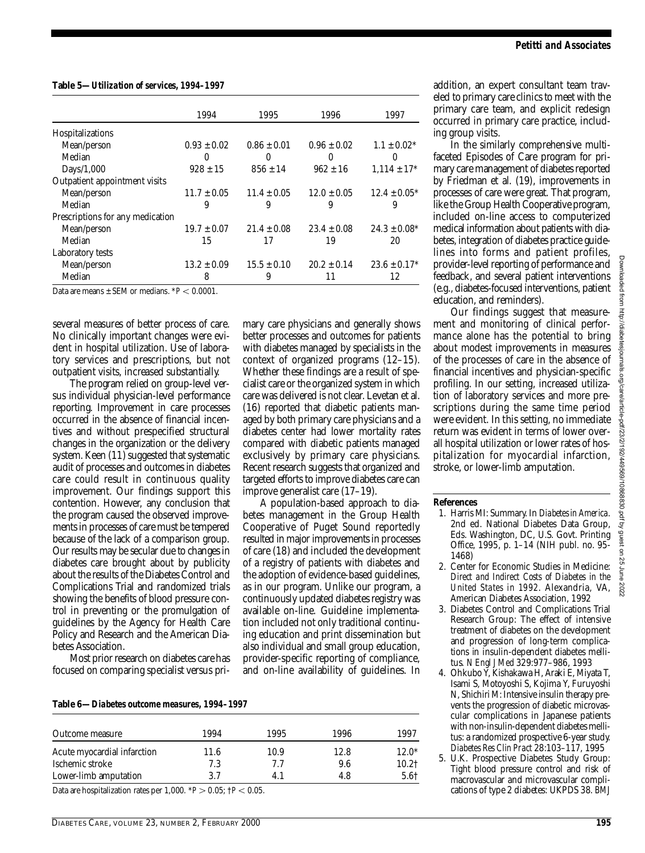| Table 5—Utilization of services, 1994–1997 |  |  |
|--------------------------------------------|--|--|
|--------------------------------------------|--|--|

|                                                        | 1994            | 1995            | 1996            | 1997             |
|--------------------------------------------------------|-----------------|-----------------|-----------------|------------------|
| Hospitalizations                                       |                 |                 |                 |                  |
| Mean/person                                            | $0.93 \pm 0.02$ | $0.86 \pm 0.01$ | $0.96 \pm 0.02$ | $1.1 \pm 0.02*$  |
| Median                                                 | $\Omega$        | $\Omega$        | $\theta$        | $\theta$         |
| Days/1,000                                             | $928 \pm 15$    | $856 \pm 14$    | $962 \pm 16$    | $1.114 \pm 17^*$ |
| Outpatient appointment visits                          |                 |                 |                 |                  |
| Mean/person                                            | $11.7 \pm 0.05$ | $11.4 \pm 0.05$ | $12.0 \pm 0.05$ | $12.4 \pm 0.05*$ |
| Median                                                 | 9               | 9               | 9               | 9                |
| Prescriptions for any medication                       |                 |                 |                 |                  |
| Mean/person                                            | $19.7 \pm 0.07$ | $21.4 \pm 0.08$ | $23.4 \pm 0.08$ | $24.3 \pm 0.08*$ |
| Median                                                 | 15              | 17              | 19              | 20               |
| Laboratory tests                                       |                 |                 |                 |                  |
| Mean/person                                            | $13.2 \pm 0.09$ | $15.5 \pm 0.10$ | $20.2 \pm 0.14$ | $23.6 \pm 0.17*$ |
| Median                                                 | 8               | 9               | 11              | 12               |
| Deta are magnes : CEM on madiana $\angle D \ge 0.0001$ |                 |                 |                 |                  |

Data are means  $\pm$  SEM or medians.  $*P < 0.0001$ .

several measures of better process of care. No clinically important changes were evident in hospital utilization. Use of laboratory services and prescriptions, but not outpatient visits, increased substantially.

The program relied on group-level versus individual physician-level performance reporting. Improvement in care processes occurred in the absence of financial incentives and without prespecified structural changes in the organization or the delivery system. Keen (11) suggested that systematic audit of processes and outcomes in diabetes care could result in continuous quality improvement. Our findings support this contention. However, any conclusion that the program caused the observed improvements in processes of care must be tempered because of the lack of a comparison group. Our results may be secular due to changes in diabetes care brought about by publicity about the results of the Diabetes Control and Complications Trial and randomized trials showing the benefits of blood pressure control in preventing or the promulgation of guidelines by the Agency for Health Care Policy and Research and the American Diabetes Association.

Most prior research on diabetes care has focused on comparing specialist versus primary care physicians and generally shows better processes and outcomes for patients with diabetes managed by specialists in the context of organized programs (12–15). Whether these findings are a result of specialist care or the organized system in which care was delivered is not clear. Levetan et al.  $(16)$  reported that diabetic patients managed by both primary care physicians and a diabetes center had lower mortality rates compared with diabetic patients managed exclusively by primary care physicians. Recent research suggests that organized and targeted efforts to improve diabetes care can improve generalist care  $(17-19)$ .

A population-based approach to diabetes management in the Group Health Cooperative of Puget Sound reportedly resulted in major improvements in processes of care (18) and included the development of a registry of patients with diabetes and the adoption of evidence-based guidelines, as in our program. Unlike our program, a continuously updated diabetes registry was available on-line. Guideline implementation included not only traditional continuing education and print dissemination but also individual and small group education, provider-specific reporting of compliance, and on-line availability of guidelines. In

**Table 6—***Diabetes outcome measures, 1994–1997*

| Outcome measure             | 1994 | 1995 | 1996 | 1997    |
|-----------------------------|------|------|------|---------|
| Acute myocardial infarction | 11.6 | 10.9 | 12.8 | $12.0*$ |
| Ischemic stroke             | 7.3  | 7.7  | 9.6  | 10.2†   |
| Lower-limb amputation       | 3.7  | 41   | 4.8  | 5.6†    |

Data are hospitalization rates per 1,000.  $*P > 0.05$ ;  $\uparrow P < 0.05$ .

addition, an expert consultant team traveled to primary care clinics to meet with the primary care team, and explicit redesign occurred in primary care practice, including group visits.

In the similarly comprehensive multifaceted Episodes of Care program for primary care management of diabetes reported by Friedman et al. (19), improvements in processes of care were great. That program, like the Group Health Cooperative program, included on-line access to computerized medical information about patients with diabetes, integration of diabetes practice guidelines into forms and patient profiles, provider-level reporting of performance and feedback, and several patient interventions (e.g., diabetes-focused interventions, patient education, and reminders).

Our findings suggest that measurement and monitoring of clinical performance alone has the potential to bring about modest improvements in measures of the processes of care in the absence of financial incentives and physician-specific p rofiling. In our setting, increased utilization of laboratory services and more prescriptions during the same time period were evident. In this setting, no immediate return was evident in terms of lower overall hospital utilization or lower rates of hospitalization for myocardial infarction, stroke, or lower-limb amputation.

**References** 

- 1. Harris MI: Summary. In Diabetes in America. 2nd ed. National Diabetes Data Group, Eds. Washington, DC, U.S. Govt. Printing Office, 1995, p. 1–14 (NIH publ. no. 95-1468)
- 2 . Center for Economic Studies in Medicine: Direct and Indirect Costs of Diabetes in the *United States in 1992*. Alexandria, VA , American Diabetes Association, 1992
- 3. Diabetes Control and Complications Trial Research Group: The effect of intensive treatment of diabetes on the development and progression of long-term complications in insulin-dependent diabetes mellitus. *N Engl J Med* 329:977–986, 1993
- 4 . Ohkubo Y, Kishakawa H, Araki E, Miyata T, Isami S, Motoyoshi S, Kojima Y, Furuyoshi N, Shichiri M: Intensive insulin therapy prevents the progression of diabetic microvascular complications in Japanese patients with non-insulin-dependent diabetes mellitus: a randomized prospective 6-year study. *Diabetes Res Clin Pract* 28:103–117, 1995
- 5. U.K. Prospective Diabetes Study Group: Tight blood pressure control and risk of macrovascular and microvascular complications of type 2 diabetes: UKPDS 38. BMJ